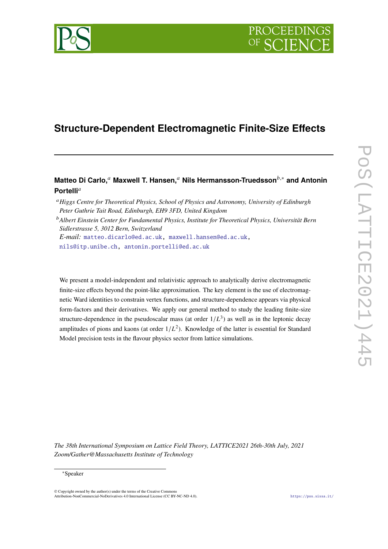



# **Matteo Di Carlo,**<sup>𝑎</sup> **Maxwell T. Hansen,**<sup>𝑎</sup> **Nils Hermansson-Truedsson**𝑏,<sup>∗</sup> **and Antonin** Portelli<sup>a</sup>

*E-mail:* [matteo.dicarlo@ed.ac.uk,](mailto:matteo.dicarlo@ed.ac.uk) [maxwell.hansen@ed.ac.uk,](mailto:maxwell.hansen@ed.ac.uk)

[nils@itp.unibe.ch,](mailto:nils@itp.unibe.ch) [antonin.portelli@ed.ac.uk](mailto:antonin.portelli@ed.ac.uk)

We present a model-independent and relativistic approach to analytically derive electromagnetic finite-size effects beyond the point-like approximation. The key element is the use of electromagnetic Ward identities to constrain vertex functions, and structure-dependence appears via physical form-factors and their derivatives. We apply our general method to study the leading finite-size structure-dependence in the pseudoscalar mass (at order  $1/L^3$ ) as well as in the leptonic decay amplitudes of pions and kaons (at order  $1/L<sup>2</sup>$ ). Knowledge of the latter is essential for Standard Model precision tests in the flavour physics sector from lattice simulations.

*The 38th International Symposium on Lattice Field Theory, LATTICE2021 26th-30th July, 2021 Zoom/Gather@Massachusetts Institute of Technology*

© Copyright owned by the author(s) under the terms of the Creative Commons Attribution-NonCommercial-NoDerivatives 4.0 International License (CC BY-NC-ND 4.0). <https://pos.sissa.it/>

<sup>&</sup>lt;sup>a</sup> Higgs Centre for Theoretical Physics, School of Physics and Astronomy, University of Edinburgh *Peter Guthrie Tait Road, Edinburgh, EH9 3FD, United Kingdom*

<sup>&</sup>lt;sup>b</sup> Albert Einstein Center for Fundamental Physics, Institute for Theoretical Physics, Universität Bern *Sidlerstrasse 5, 3012 Bern, Switzerland*

<sup>∗</sup>Speaker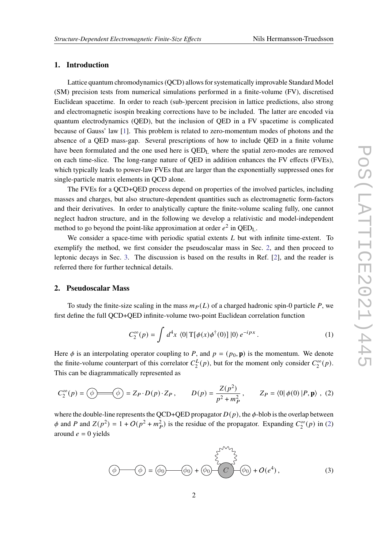#### **1. Introduction**

Lattice quantum chromodynamics (QCD) allows for systematically improvable Standard Model (SM) precision tests from numerical simulations performed in a finite-volume (FV), discretised Euclidean spacetime. In order to reach (sub-)percent precision in lattice predictions, also strong and electromagnetic isospin breaking corrections have to be included. The latter are encoded via quantum electrodynamics (QED), but the inclusion of QED in a FV spacetime is complicated because of Gauss' law [\[1\]](#page-5-0). This problem is related to zero-momentum modes of photons and the absence of a QED mass-gap. Several prescriptions of how to include QED in a finite volume have been formulated and the one used here is QED<sup>L</sup> where the spatial zero-modes are removed on each time-slice. The long-range nature of QED in addition enhances the FV effects (FVEs), which typically leads to power-law FVEs that are larger than the exponentially suppressed ones for single-particle matrix elements in QCD alone.

The FVEs for a QCD+QED process depend on properties of the involved particles, including masses and charges, but also structure-dependent quantities such as electromagnetic form-factors and their derivatives. In order to analytically capture the finite-volume scaling fully, one cannot neglect hadron structure, and in the following we develop a relativistic and model-independent method to go beyond the point-like approximation at order  $e^2$  in QED<sub>L</sub>.

We consider a space-time with periodic spatial extents  $L$  but with infinite time-extent. To exemplify the method, we first consider the pseudoscalar mass in Sec. [2,](#page-1-0) and then proceed to leptonic decays in Sec. [3.](#page-3-0) The discussion is based on the results in Ref. [\[2\]](#page-5-1), and the reader is referred there for further technical details.

## <span id="page-1-0"></span>**2. Pseudoscalar Mass**

To study the finite-size scaling in the mass  $m_P(L)$  of a charged hadronic spin-0 particle P, we first define the full QCD+QED infinite-volume two-point Euclidean correlation function

$$
C_2^{\infty}(p) = \int d^4x \langle 0| \operatorname{T}[\phi(x)\phi^{\dagger}(0)] |0\rangle e^{-ipx} . \tag{1}
$$

Here  $\phi$  is an interpolating operator coupling to P, and  $p = (p_0, \mathbf{p})$  is the momentum. We denote the finite-volume counterpart of this correlator  $C_2^L$  $C_2^L(p)$ , but for the moment only consider  $C_2^{\infty}$  $\sum_{2}^{\infty}(p).$ This can be diagrammatically represented as

<span id="page-1-1"></span>
$$
C_2^{\infty}(p) = \bigcirc \widehat{\phi} \longrightarrow \widehat{Q} = Z_P \cdot D(p) \cdot Z_P, \qquad D(p) = \frac{Z(p^2)}{p^2 + m_P^2}, \qquad Z_P = \langle 0 | \phi(0) | P, \mathbf{p} \rangle, \tag{2}
$$

where the double-line represents the QCD+QED propagator  $D(p)$ , the  $\phi$ -blob is the overlap between  $\phi$  and P and  $Z(p^2) = 1 + O(p^2 + m_P^2)$  is the residue of the propagator. Expanding  $C_2^{\infty}$  $\int_{2}^{\infty} (p) \text{ in (2)}$  $\int_{2}^{\infty} (p) \text{ in (2)}$  $\int_{2}^{\infty} (p) \text{ in (2)}$ around  $e = 0$  yields

<span id="page-1-2"></span>
$$
\widehat{\Phi} = \widehat{\phi}_0 \qquad \widehat{\phi}_0 + \widehat{\phi}_0 \qquad \widehat{C} \qquad \widehat{\phi}_0 + O(e^4), \qquad (3)
$$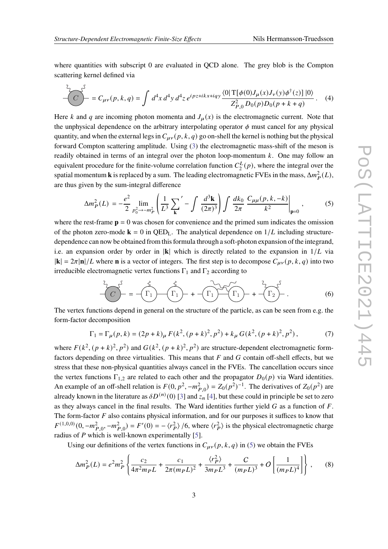$\overline{a}$ 

where quantities with subscript 0 are evaluated in QCD alone. The grey blob is the Compton scattering kernel defined via

$$
C = C_{\mu\nu}(p,k,q) = \int d^4x d^4y d^4z e^{ipz+ikx+iqy} \frac{\langle 0|T[\phi(0)J_{\mu}(x)J_{\nu}(y)\phi^{\dagger}(z)]|0\rangle}{Z_{P,0}^2 D_0(p)D_0(p+k+q)}.
$$
 (4)

Here k and q are incoming photon momenta and  $J_{\mu}(x)$  is the electromagnetic current. Note that the unphysical dependence on the arbitrary interpolating operator  $\phi$  must cancel for any physical quantity, and when the external legs in  $C_{\mu\nu}(p, k, q)$  go on-shell the kernel is nothing but the physical forward Compton scattering amplitude. Using [\(3\)](#page-1-2) the electromagnetic mass-shift of the meson is readily obtained in terms of an integral over the photon loop-momentum  $k$ . One may follow an equivalent procedure for the finite-volume correlation function  $C_2^L$  $2^L(p)$ , where the integral over the spatial momentum **k** is replaced by a sum. The leading electromagnetic FVEs in the mass,  $\Delta m_P^2(L)$ , are thus given by the sum-integral difference

<span id="page-2-0"></span>
$$
\Delta m_P^2(L) = -\frac{e^2}{2} \lim_{p_0^2 \to -m_P^2} \left( \frac{1}{L^3} \sum_{\mathbf{k}}' - \int \frac{d^3 \mathbf{k}}{(2\pi)^3} \right) \int \frac{dk_0}{2\pi} \frac{C_{\mu\mu}(p, k, -k)}{k^2} \Big|_{\mathbf{p} = 0},\tag{5}
$$

where the rest-frame  $\mathbf{p} = 0$  was chosen for convenience and the primed sum indicates the omission of the photon zero-mode  $\mathbf{k} = 0$  in QED<sub>L</sub>. The analytical dependence on  $1/L$  including structuredependence can now be obtained from this formula through a soft-photon expansion of the integrand, i.e. an expansion order by order in  $|\mathbf{k}|$  which is directly related to the expansion in  $1/L$  via  $|\mathbf{k}| = 2\pi |\mathbf{n}|/L$  where **n** is a vector of integers. The first step is to decompose  $C_{\mu\nu}(p, k, q)$  into two irreducible electromagnetic vertex functions  $\Gamma_1$  and  $\Gamma_2$  according to

$$
\frac{1}{C}\sum_{i=1}^{C} = -\left(\frac{1}{\Gamma_{1}}\right)\left(\frac{1}{\Gamma_{1}}\right) + \left(\frac{1}{\Gamma_{1}}\right)\left(\frac{1}{\Gamma_{1}}\right) + \left(\frac{1}{\Gamma_{2}}\right)^{2}.
$$
 (6)

The vertex functions depend in general on the structure of the particle, as can be seen from e.g. the form-factor decomposition

$$
\Gamma_1 = \Gamma_{\mu}(p, k) = (2p + k)_{\mu} F(k^2, (p + k)^2, p^2) + k_{\mu} G(k^2, (p + k)^2, p^2),
$$
 (7)

where  $F(k^2, (p+k)^2, p^2)$  and  $G(k^2, (p+k)^2, p^2)$  are structure-dependent electromagnetic formfactors depending on three virtualities. This means that  $F$  and  $G$  contain off-shell effects, but we stress that these non-physical quantities always cancel in the FVEs. The cancellation occurs since the vertex functions  $\Gamma_{1,2}$  are related to each other and the propagator  $D_0(p)$  via Ward identities. An example of an off-shell relation is  $F(0, p^2, -m_{P,0}^2) = Z_0(p^2)^{-1}$ . The derivatives of  $Z_0(p^2)$  are already known in the literature as  $\delta D^{(n)}(0)$  [\[3\]](#page-5-2) and  $z_n$  [\[4\]](#page-5-3), but these could in principle be set to zero as they always cancel in the final results. The Ward identities further yield  $G$  as a function of  $F$ . The form-factor  $F$  also contains physical information, and for our purposes it suffices to know that  $F^{(1,0,0)}(0, -m_{P,0}^2, -m_{P,0}^2) = F'(0) = -\langle r_P^2 \rangle / 6$ , where  $\langle r_P^2 \rangle$  is the physical electromagnetic charge radius of  $P$  which is well-known experimentally [\[5\]](#page-5-4).

Using our definitions of the vertex functions in  $C_{\mu\nu}(p, k, q)$  in [\(5\)](#page-2-0) we obtain the FVEs

$$
\Delta m_P^2(L) = e^2 m_P^2 \left\{ \frac{c_2}{4\pi^2 m_P L} + \frac{c_1}{2\pi (m_P L)^2} + \frac{\langle r_P^2 \rangle}{3m_P L^3} + \frac{C}{(m_P L)^3} + O\left[\frac{1}{(m_P L)^4}\right] \right\},\tag{8}
$$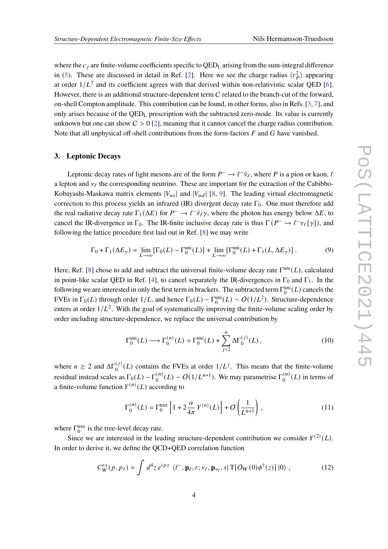where the  $c_i$  are finite-volume coefficients specific to  $QED<sub>L</sub>$  arising from the sum-integral difference in [\(5\)](#page-2-0). These are discussed in detail in Ref. [\[2\]](#page-5-1). Here we see the charge radius  $\langle r_P^2 \rangle$  appearing at order  $1/L^3$  and its coefficient agrees with that derived within non-relativistic scalar QED [\[6\]](#page-5-5). However, there is an additional structure-dependent term C related to the branch-cut of the forward, on-shell Compton amplitude. This contribution can be found, in other forms, also in Refs. [\[3,](#page-5-2) [7\]](#page-5-6), and only arises because of the QED<sup>L</sup> prescription with the subtracted zero-mode. Its value is currently unknown but one can show  $C > 0$  [\[2\]](#page-5-1), meaning that it cannot cancel the charge radius contribution. Note that all unphysical off-shell contributions from the form-factors  $F$  and  $G$  have vanished.

#### <span id="page-3-0"></span>**3. Leptonic Decays**

Leptonic decay rates of light mesons are of the form  $P^- \to \ell^- \bar{\nu}_{\ell}$ , where P is a pion or kaon,  $\ell$ a lepton and  $v_\ell$  the corresponding neutrino. These are important for the extraction of the Cabibbo-Kobayashi-Maskawa matrix elements  $|V_{us}|$  and  $|V_{ud}|$  [\[8,](#page-5-7) [9\]](#page-5-8). The leading virtual electromagnetic correction to this process yields an infrared (IR) divergent decay rate  $\Gamma_0$ . One must therefore add the real radiative decay rate  $\Gamma_1(\Delta E)$  for  $P^- \to \ell^- \bar{\nu}_\ell \gamma$ , where the photon has energy below  $\Delta E$ , to cancel the IR-divergence in  $\Gamma_0$ . The IR-finite inclusive decay rate is thus  $\Gamma(P^- \to \ell^- \nu_\ell[\gamma])$ , and following the lattice procedure first laid out in Ref. [\[8\]](#page-5-7) we may write

$$
\Gamma_0 + \Gamma_1(\Delta E_\gamma) = \lim_{L \to \infty} [\Gamma_0(L) - \Gamma_0^{\text{uni}}(L)] + \lim_{L \to \infty} [\Gamma_0^{\text{uni}}(L) + \Gamma_1(L, \Delta E_\gamma)].
$$
 (9)

Here, Ref. [\[8\]](#page-5-7) chose to add and subtract the universal finite-volume decay rate  $\Gamma^{\text{uni}}(L)$ , calculated in point-like scalar QED in Ref. [\[4\]](#page-5-3), to cancel separately the IR-divergences in  $\Gamma_0$  and  $\Gamma_1$ . In the following we are interested in only the first term in brackets. The subtracted term  $\Gamma_0^{\text{uni}}(L)$  cancels the FVEs in  $\Gamma_0(L)$  through order  $1/L$ , and hence  $\Gamma_0(L) - \Gamma_0^{\text{uni}}(L) \sim O(1/L^2)$ . Structure-dependence enters at order  $1/L^2$ . With the goal of systematically improving the finite-volume scaling order by order including structure-dependence, we replace the universal contribution by

$$
\Gamma_0^{\text{uni}}(L) \longrightarrow \Gamma_0^{(n)}(L) = \Gamma_0^{\text{uni}}(L) + \sum_{j=2}^n \Delta \Gamma_0^{(j)}(L) , \qquad (10)
$$

where  $n \ge 2$  and  $\Delta\Gamma_0^{(j)}(L)$  contains the FVEs at order  $1/L^j$ . This means that the finite-volume residual instead scales as  $\Gamma_0(L) - \Gamma_0^{(n)}$  $\binom{n}{0}(L) \sim O(1/L^{n+1})$ . We may parametrise  $\Gamma_0^{(n)}$  $\binom{n}{0}(L)$  in terms of a finite-volume function  $Y^{(n)}(L)$  according to

<span id="page-3-2"></span><span id="page-3-1"></span>
$$
\Gamma_0^{(n)}(L) = \Gamma_0^{\text{tree}} \left[ 1 + 2 \frac{\alpha}{4\pi} Y^{(n)}(L) \right] + O\left(\frac{1}{L^{n+1}}\right),\tag{11}
$$

where  $\Gamma_0^{\text{tree}}$  is the tree-level decay rate.

Since we are interested in the leading structure-dependent contribution we consider  $Y^{(2)}(L)$ . In order to derive it, we define the QCD+QED correlation function

$$
C_W^{rs}(p, p_\ell) = \int d^4 z \, e^{ipz} \, \langle \ell^-, \mathbf{p}_\ell, r; \nu_\ell, \mathbf{p}_{\nu_\ell}, s | \mathbf{T} [O_W(0) \phi^\dagger(z)] | 0 \rangle \,, \tag{12}
$$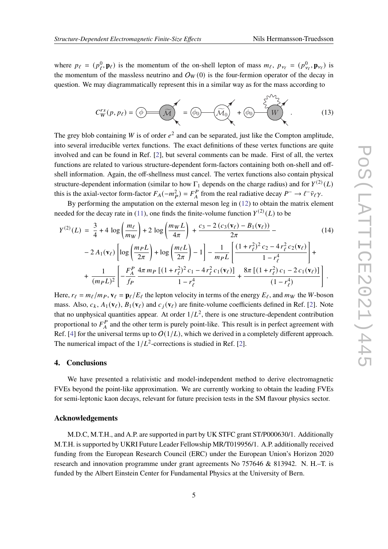where  $p_{\ell} = (p_{\ell}^0, \mathbf{p}_{\ell})$  is the momentum of the on-shell lepton of mass  $m_{\ell}$ ,  $p_{\nu_{\ell}} = (p_{\nu_{\ell}}^0, \mathbf{p}_{\nu_{\ell}})$  is the momentum of the massless neutrino and  $O_W(0)$  is the four-fermion operator of the decay in question. We may diagrammatically represent this in a similar way as for the mass according to

$$
C_W^{rs}(p, p_\ell) = \bigcirc \widehat{\mathcal{M}} \bigotimes_{\mathcal{M}} \widehat{\mathcal{M}}_0 \bigotimes_{\mathcal{M}} \widehat{\mathcal{M}}_0 \bigotimes_{\mathcal{M}} \widehat{\mathcal{M}}_0 \bigotimes_{\mathcal{M}} \widehat{\mathcal{M}}_0 \qquad (13)
$$

The grey blob containing W is of order  $e^2$  and can be separated, just like the Compton amplitude, into several irreducible vertex functions. The exact definitions of these vertex functions are quite involved and can be found in Ref. [\[2\]](#page-5-1), but several comments can be made. First of all, the vertex functions are related to various structure-dependent form-factors containing both on-shell and offshell information. Again, the off-shellness must cancel. The vertex functions also contain physical structure-dependent information (similar to how  $\Gamma_1$  depends on the charge radius) and for  $Y^{(2)}(L)$ this is the axial-vector form-factor  $F_A(-m_P^2) = F_A^P$  from the real radiative decay  $P^- \to \ell^- \bar{\nu}_\ell \gamma$ .

By performing the amputation on the external meson leg in [\(12\)](#page-3-1) to obtain the matrix element needed for the decay rate in [\(11\)](#page-3-2), one finds the finite-volume function  $Y^{(2)}(L)$  to be

$$
Y^{(2)}(L) = \frac{3}{4} + 4 \log \left( \frac{m_{\ell}}{m_{W}} \right) + 2 \log \left( \frac{m_{W}L}{4\pi} \right) + \frac{c_{3} - 2(c_{3}(\mathbf{v}_{\ell}) - B_{1}(\mathbf{v}_{\ell}))}{2\pi} - 2A_{1}(\mathbf{v}_{\ell}) \left[ \log \left( \frac{m_{P}L}{2\pi} \right) + \log \left( \frac{m_{\ell}L}{2\pi} \right) - 1 \right] - \frac{1}{m_{P}L} \left[ \frac{(1 + r_{\ell}^{2})^{2} c_{2} - 4 r_{\ell}^{2} c_{2}(\mathbf{v}_{\ell})}{1 - r_{\ell}^{4}} \right] + \frac{1}{(m_{P}L)^{2}} \left[ -\frac{F_{A}^{P}}{f_{P}} \frac{4\pi m_{P} \left[ (1 + r_{\ell}^{2})^{2} c_{1} - 4 r_{\ell}^{2} c_{1}(\mathbf{v}_{\ell}) \right]}{1 - r_{\ell}^{4}} + \frac{8\pi \left[ (1 + r_{\ell}^{2}) c_{1} - 2 c_{1}(\mathbf{v}_{\ell}) \right]}{(1 - r_{\ell}^{4})} \right]. \tag{1 - r_{\ell}^{4}}
$$

Here,  $r_\ell = m_\ell / m_P$ ,  $\mathbf{v}_\ell = \mathbf{p}_\ell / E_\ell$  the lepton velocity in terms of the energy  $E_\ell$ , and  $m_W$  the *W*-boson mass. Also,  $c_k$ ,  $A_1(\mathbf{v}_\ell)$ ,  $B_1(\mathbf{v}_\ell)$  and  $c_i(\mathbf{v}_\ell)$  are finite-volume coefficients defined in Ref. [\[2\]](#page-5-1). Note that no unphysical quantities appear. At order  $1/L^2$ , there is one structure-dependent contribution proportional to  $F_A^P$  and the other term is purely point-like. This result is in perfect agreement with Ref. [\[4\]](#page-5-3) for the universal terms up to  $O(1/L)$ , which we derived in a completely different approach. The numerical impact of the  $1/L^2$ -corrections is studied in Ref. [\[2\]](#page-5-1).

### **4. Conclusions**

We have presented a relativistic and model-independent method to derive electromagnetic FVEs beyond the point-like approximation. We are currently working to obtain the leading FVEs for semi-leptonic kaon decays, relevant for future precision tests in the SM flavour physics sector.

#### **Acknowledgements**

M.D.C, M.T.H., and A.P. are supported in part by UK STFC grant ST/P000630/1. Additionally M.T.H. is supported by UKRI Future Leader Fellowship MR/T019956/1. A.P. additionally received funding from the European Research Council (ERC) under the European Union's Horizon 2020 research and innovation programme under grant agreements No 757646 & 813942. N. H.–T. is funded by the Albert Einstein Center for Fundamental Physics at the University of Bern.